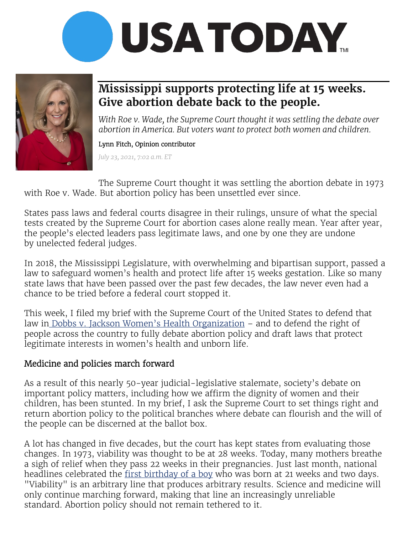



## **Mississippi supports protecting life at 15 weeks. Give abortion debate back to the people.**

*With Roe v. Wade, the Supreme Court thought it was settling the debate over abortion in America. But voters want to protect both women and children.*

## Lynn Fitch, Opinion contributor

*July 23, 2021, 7:02 a.m. ET*

The Supreme Court thought it was settling the abortion debate in [1973](https://www.oyez.org/cases/1971/70-18)  [with Roe v. Wade.](https://www.oyez.org/cases/1971/70-18) But abortion policy has been unsettled ever since.

States pass laws and federal courts disagree in their rulings, unsure of what the [special](https://fivethirtyeight.com/features/the-supreme-courts-test-for-abortion-laws-is-a-poorly-defined-math-problem/)  [tests](https://fivethirtyeight.com/features/the-supreme-courts-test-for-abortion-laws-is-a-poorly-defined-math-problem/) created by the Supreme Court for abortion cases alone really mean. Year after year, the people's elected leaders pass legitimate laws, and one by one they are undone by [unelected federal judges.](https://constitutioncenter.org/interactive-constitution/interpretation/article-iii/clauses/45)

In 2018, the Mississippi Legislature, with [overwhelming](https://legiscan.com/MS/bill/HB1510/2018) and [bipartisan](https://legiscan.com/MS/rollcall/HB1510/id/717959) support, passed a law to safeguard women's health and protect life after [15 weeks gestation.](https://www.usatoday.com/story/news/politics/2020/10/29/mississippi-abortion-ban-law-come-before-supreme-court/6057735002/) Like so many state laws that have been [passed](https://www.cnn.com/2019/10/27/politics/abortion-laws-states-roundup/index.html) over the past few decades, the law never even had a chance to be tried before a federal court [stopped it.](https://www.usatoday.com/story/news/politics/2018/03/20/mississippi-15-week-abortion-ban-blocked/442263002/)

This week, I filed my brief with the Supreme Court of the United States to defend that law in [Dobbs v. Jackson Women's Health Organization](https://www.usatoday.com/story/news/politics/2021/07/19/division-among-supreme-court-conservatives-complicates-overturning-roe/7492770002/) – and to defend the right of people across the country to fully debate abortion policy and draft laws that protect legitimate interests in women's health and unborn life.

## Medicine and policies march forward

As a result of this nearly 50-year judicial-legislative stalemate, society's debate on important policy matters, including how we affirm the dignity of women and their children, has been stunted. In my brief, I ask the Supreme Court to set things right and return abortion policy to the political branches where debate can flourish and the will of the people can be discerned at the ballot box.

A lot has changed in five decades, but the court has kept states from evaluating those changes. In 1973, viability was thought to be at [28 weeks.](https://www.law.cornell.edu/supremecourt/text/505/833) Today, many mothers breathe a sigh of relief when they pass [22 weeks](https://www.nytimes.com/2015/05/07/health/premature-babies-22-weeks-viability-study.html) in their pregnancies. Just last month, national headlines celebrated the [first birthday of a boy](https://www.guinnessworldrecords.com/news/2021/6/worlds-most-premature-baby-given-0-odds-of-survival-celebrates-first-birthday-663394) who was born at 21 weeks and two days. "Viability" is an arbitrary line that produces arbitrary results. Science and medicine will only continue marching forward, making that line an increasingly unreliable standard. Abortion policy should not remain tethered to it.